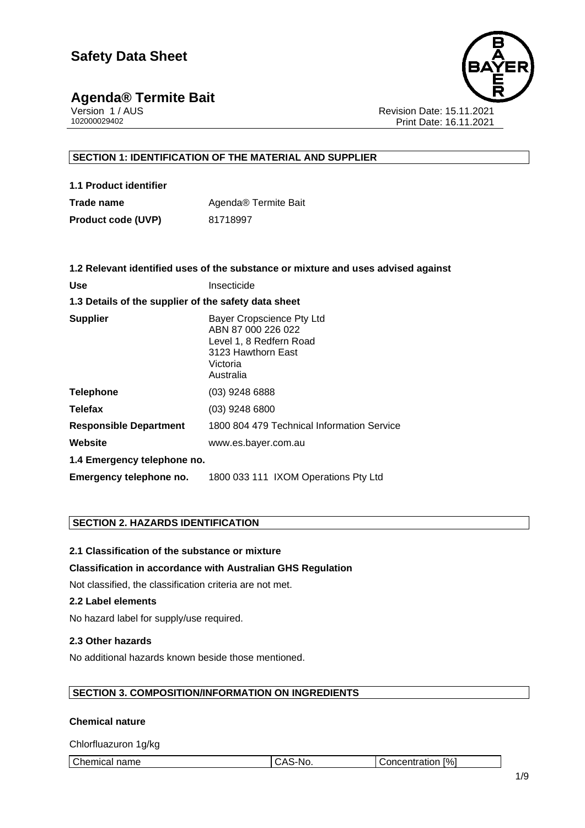# **Agenda® Termite Bait Version 1/AUS**



Version 1 / AUS **Revision Date: 15.11.2021**<br>102000029402 Print Date: 16.11.2021 Print Date: 16.11.2021

### **SECTION 1: IDENTIFICATION OF THE MATERIAL AND SUPPLIER**

| 1.1 Product identifier    |                      |
|---------------------------|----------------------|
| Trade name                | Agenda® Termite Bait |
| <b>Product code (UVP)</b> | 81718997             |

|                                                      | 1.2 Relevant identified uses of the substance or mixture and uses advised against                                         |
|------------------------------------------------------|---------------------------------------------------------------------------------------------------------------------------|
| <b>Use</b>                                           | Insecticide                                                                                                               |
| 1.3 Details of the supplier of the safety data sheet |                                                                                                                           |
| <b>Supplier</b>                                      | Bayer Cropscience Pty Ltd<br>ABN 87 000 226 022<br>Level 1, 8 Redfern Road<br>3123 Hawthorn East<br>Victoria<br>Australia |
| <b>Telephone</b>                                     | $(03)$ 9248 6888                                                                                                          |
| <b>Telefax</b>                                       | $(03)$ 9248 6800                                                                                                          |
| <b>Responsible Department</b>                        | 1800 804 479 Technical Information Service                                                                                |
| Website                                              | www.es.bayer.com.au                                                                                                       |
| 1.4 Emergency telephone no.                          |                                                                                                                           |
| Emergency telephone no.                              | 1800 033 111 IXOM Operations Pty Ltd                                                                                      |

#### **SECTION 2. HAZARDS IDENTIFICATION**

**2.1 Classification of the substance or mixture**

#### **Classification in accordance with Australian GHS Regulation**

Not classified, the classification criteria are not met.

#### **2.2 Label elements**

No hazard label for supply/use required.

#### **2.3 Other hazards**

No additional hazards known beside those mentioned.

#### **SECTION 3. COMPOSITION/INFORMATION ON INGREDIENTS**

#### **Chemical nature**

Chlorfluazuron 1g/kg

| Chemical,<br>$\lceil\% \rceil$<br>$\mathbf{r}$<br>name<br>.<br>٦r<br>. UIL<br>uai<br>7. II V. JI<br>. .<br>v |
|--------------------------------------------------------------------------------------------------------------|
|--------------------------------------------------------------------------------------------------------------|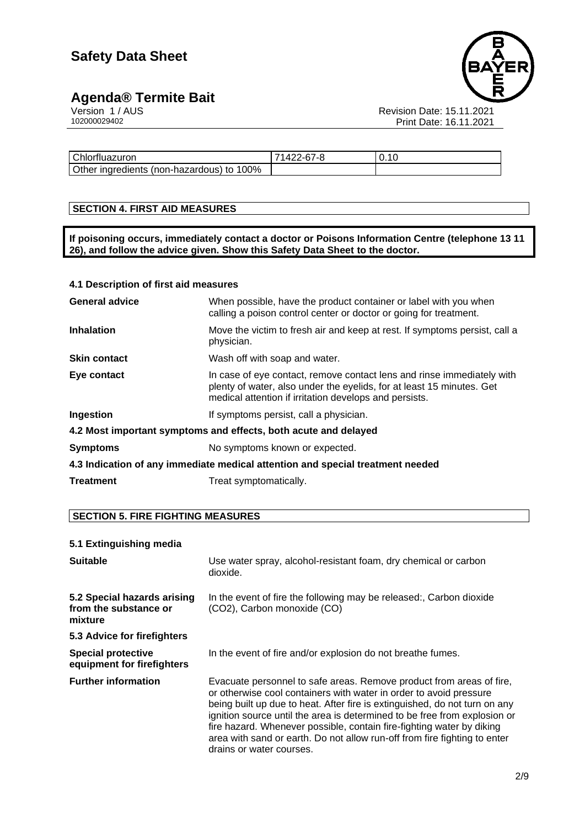### **Agenda® Termite Bait 2/9 2/9 2/9 2/9 2/9 2/9 2/9 2/9 2/9 2/9 2/9 2/9 2/9 2/9 2/9 2/9 2/9 2/9 2/9 2/9 2/9 2/9 2/9 2/9 2/9 2/9 2/9 2/9 2/9 2/9 2/9 2/9 2/9**



Version 1 / AUS Revision Date: 15.11.2021 102000029402 Print Date: 16.11.2021

| Chlorfluazuron                            | 71422-67-8 | 0.10 |
|-------------------------------------------|------------|------|
| Other ingredients (non-hazardous) to 100% |            |      |

#### **SECTION 4. FIRST AID MEASURES**

**If poisoning occurs, immediately contact a doctor or Poisons Information Centre (telephone 13 11 26), and follow the advice given. Show this Safety Data Sheet to the doctor.**

#### **4.1 Description of first aid measures**

| <b>General advice</b>                                                          | When possible, have the product container or label with you when<br>calling a poison control center or doctor or going for treatment.                                                                     |  |
|--------------------------------------------------------------------------------|-----------------------------------------------------------------------------------------------------------------------------------------------------------------------------------------------------------|--|
| <b>Inhalation</b>                                                              | Move the victim to fresh air and keep at rest. If symptoms persist, call a<br>physician.                                                                                                                  |  |
| <b>Skin contact</b>                                                            | Wash off with soap and water.                                                                                                                                                                             |  |
| Eye contact                                                                    | In case of eye contact, remove contact lens and rinse immediately with<br>plenty of water, also under the eyelids, for at least 15 minutes. Get<br>medical attention if irritation develops and persists. |  |
| Ingestion                                                                      | If symptoms persist, call a physician.                                                                                                                                                                    |  |
| 4.2 Most important symptoms and effects, both acute and delayed                |                                                                                                                                                                                                           |  |
| <b>Symptoms</b>                                                                | No symptoms known or expected.                                                                                                                                                                            |  |
| 4.3 Indication of any immediate medical attention and special treatment needed |                                                                                                                                                                                                           |  |
| <b>Treatment</b>                                                               | Treat symptomatically.                                                                                                                                                                                    |  |

#### **SECTION 5. FIRE FIGHTING MEASURES**

#### **5.1 Extinguishing media**

| <b>Suitable</b>                                                 | Use water spray, alcohol-resistant foam, dry chemical or carbon<br>dioxide.                                                                                                                                                                                                                                                                                                                                                                                                             |
|-----------------------------------------------------------------|-----------------------------------------------------------------------------------------------------------------------------------------------------------------------------------------------------------------------------------------------------------------------------------------------------------------------------------------------------------------------------------------------------------------------------------------------------------------------------------------|
| 5.2 Special hazards arising<br>from the substance or<br>mixture | In the event of fire the following may be released:, Carbon dioxide<br>(CO2), Carbon monoxide (CO)                                                                                                                                                                                                                                                                                                                                                                                      |
| 5.3 Advice for firefighters                                     |                                                                                                                                                                                                                                                                                                                                                                                                                                                                                         |
| <b>Special protective</b><br>equipment for firefighters         | In the event of fire and/or explosion do not breathe fumes.                                                                                                                                                                                                                                                                                                                                                                                                                             |
| <b>Further information</b>                                      | Evacuate personnel to safe areas. Remove product from areas of fire,<br>or otherwise cool containers with water in order to avoid pressure<br>being built up due to heat. After fire is extinguished, do not turn on any<br>ignition source until the area is determined to be free from explosion or<br>fire hazard. Whenever possible, contain fire-fighting water by diking<br>area with sand or earth. Do not allow run-off from fire fighting to enter<br>drains or water courses. |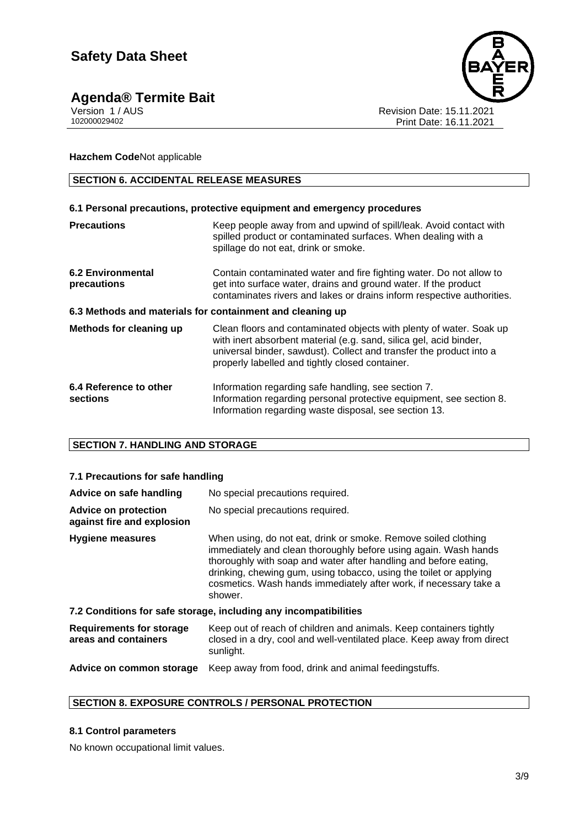## **Agenda® Termite Bait 3/9**



Version 1 / AUS **Revision Date: 15.11.2021** 102000029402 Print Date: 16.11.2021

**Hazchem Code**Not applicable

#### **SECTION 6. ACCIDENTAL RELEASE MEASURES**

#### **6.1 Personal precautions, protective equipment and emergency procedures**

| <b>Precautions</b>                                        | Keep people away from and upwind of spill/leak. Avoid contact with<br>spilled product or contaminated surfaces. When dealing with a<br>spillage do not eat, drink or smoke.                                                                                         |  |  |
|-----------------------------------------------------------|---------------------------------------------------------------------------------------------------------------------------------------------------------------------------------------------------------------------------------------------------------------------|--|--|
| <b>6.2 Environmental</b><br>precautions                   | Contain contaminated water and fire fighting water. Do not allow to<br>get into surface water, drains and ground water. If the product<br>contaminates rivers and lakes or drains inform respective authorities.                                                    |  |  |
| 6.3 Methods and materials for containment and cleaning up |                                                                                                                                                                                                                                                                     |  |  |
| Methods for cleaning up                                   | Clean floors and contaminated objects with plenty of water. Soak up<br>with inert absorbent material (e.g. sand, silica gel, acid binder,<br>universal binder, sawdust). Collect and transfer the product into a<br>properly labelled and tightly closed container. |  |  |
| 6.4 Reference to other<br>sections                        | Information regarding safe handling, see section 7.<br>Information regarding personal protective equipment, see section 8.<br>Information regarding waste disposal, see section 13.                                                                                 |  |  |

#### **SECTION 7. HANDLING AND STORAGE**

#### **7.1 Precautions for safe handling** Advice on safe handling No special precautions required. **Advice on protection against fire and explosion** No special precautions required. **Hygiene measures** When using, do not eat, drink or smoke. Remove soiled clothing immediately and clean thoroughly before using again. Wash hands thoroughly with soap and water after handling and before eating, drinking, chewing gum, using tobacco, using the toilet or applying cosmetics. Wash hands immediately after work, if necessary take a shower. **7.2 Conditions for safe storage, including any incompatibilities Requirements for storage areas and containers** Keep out of reach of children and animals. Keep containers tightly closed in a dry, cool and well-ventilated place. Keep away from direct sunlight. **Advice on common storage** Keep away from food, drink and animal feedingstuffs.

#### **SECTION 8. EXPOSURE CONTROLS / PERSONAL PROTECTION**

#### **8.1 Control parameters**

No known occupational limit values.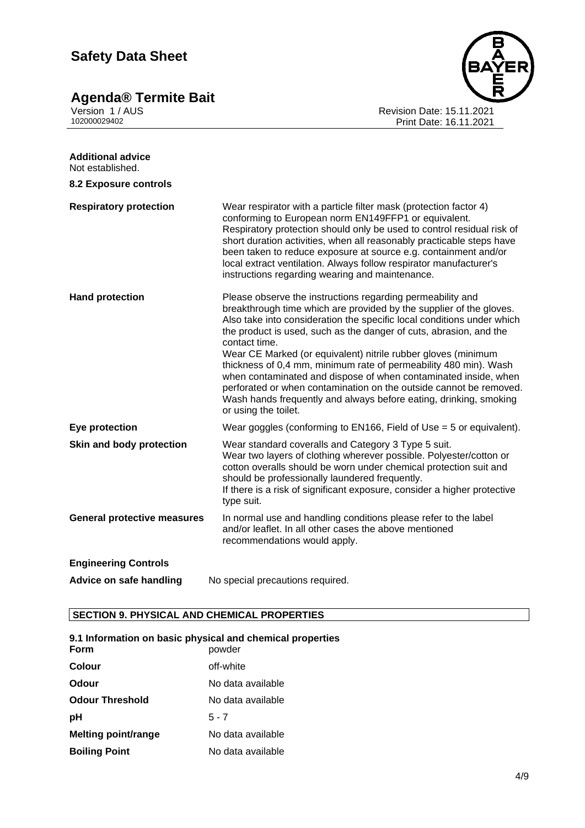**Agenda® Termite Bait 4/9 Agenda® Termite Bait** 



Version 1 / AUS Revision Date: 15.11.2021 102000029402 Print Date: 16.11.2021

| <b>Additional advice</b><br>Not established. |                                                                                                                                                                                                                                                                                                                                                                                                                                                                                                                                                                                                                                                                               |
|----------------------------------------------|-------------------------------------------------------------------------------------------------------------------------------------------------------------------------------------------------------------------------------------------------------------------------------------------------------------------------------------------------------------------------------------------------------------------------------------------------------------------------------------------------------------------------------------------------------------------------------------------------------------------------------------------------------------------------------|
| <b>8.2 Exposure controls</b>                 |                                                                                                                                                                                                                                                                                                                                                                                                                                                                                                                                                                                                                                                                               |
| <b>Respiratory protection</b>                | Wear respirator with a particle filter mask (protection factor 4)<br>conforming to European norm EN149FFP1 or equivalent.<br>Respiratory protection should only be used to control residual risk of<br>short duration activities, when all reasonably practicable steps have<br>been taken to reduce exposure at source e.g. containment and/or<br>local extract ventilation. Always follow respirator manufacturer's<br>instructions regarding wearing and maintenance.                                                                                                                                                                                                      |
| <b>Hand protection</b>                       | Please observe the instructions regarding permeability and<br>breakthrough time which are provided by the supplier of the gloves.<br>Also take into consideration the specific local conditions under which<br>the product is used, such as the danger of cuts, abrasion, and the<br>contact time.<br>Wear CE Marked (or equivalent) nitrile rubber gloves (minimum<br>thickness of 0,4 mm, minimum rate of permeability 480 min). Wash<br>when contaminated and dispose of when contaminated inside, when<br>perforated or when contamination on the outside cannot be removed.<br>Wash hands frequently and always before eating, drinking, smoking<br>or using the toilet. |
| Eye protection                               | Wear goggles (conforming to EN166, Field of Use $=$ 5 or equivalent).                                                                                                                                                                                                                                                                                                                                                                                                                                                                                                                                                                                                         |
| Skin and body protection                     | Wear standard coveralls and Category 3 Type 5 suit.<br>Wear two layers of clothing wherever possible. Polyester/cotton or<br>cotton overalls should be worn under chemical protection suit and<br>should be professionally laundered frequently.<br>If there is a risk of significant exposure, consider a higher protective<br>type suit.                                                                                                                                                                                                                                                                                                                                    |
| <b>General protective measures</b>           | In normal use and handling conditions please refer to the label<br>and/or leaflet. In all other cases the above mentioned<br>recommendations would apply.                                                                                                                                                                                                                                                                                                                                                                                                                                                                                                                     |
| <b>Engineering Controls</b>                  |                                                                                                                                                                                                                                                                                                                                                                                                                                                                                                                                                                                                                                                                               |
| Advice on safe handling                      | No special precautions required.                                                                                                                                                                                                                                                                                                                                                                                                                                                                                                                                                                                                                                              |

### **SECTION 9. PHYSICAL AND CHEMICAL PROPERTIES**

| 9.1 Information on basic physical and chemical properties |                   |  |
|-----------------------------------------------------------|-------------------|--|
| Form                                                      | powder            |  |
| <b>Colour</b>                                             | off-white         |  |
| Odour                                                     | No data available |  |
| <b>Odour Threshold</b>                                    | No data available |  |
| рH                                                        | $5 - 7$           |  |
| <b>Melting point/range</b>                                | No data available |  |
| <b>Boiling Point</b>                                      | No data available |  |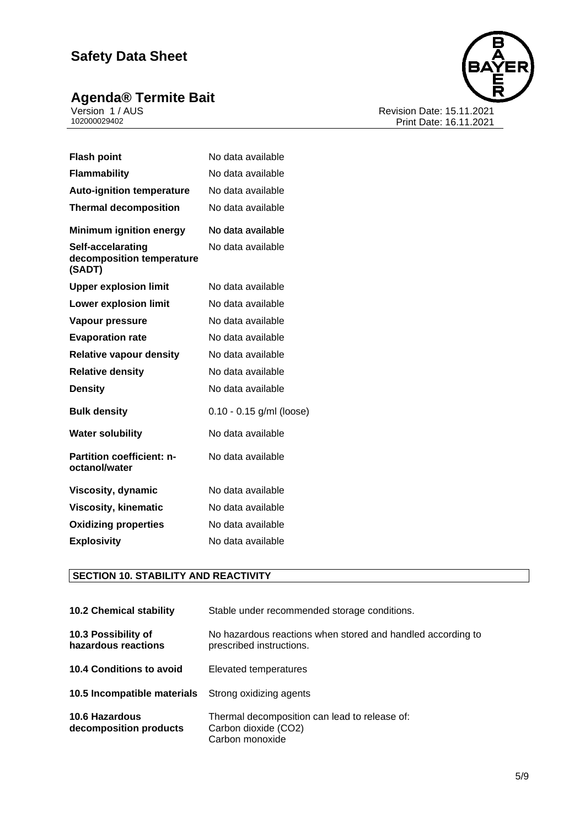### **Agenda® Termite Bait 5/9**9**9 5/9999 5/9 5/9 5/9 5/9 5/9 5/9 5/9 5/9 5/9 5/9 5/9 5/9 5/9 5/9 5/9 5/9 5/9 5/9 5/9 5/9 5/9 5/9 5/9 5/9 5/9 5/9 5/9 5/9 5/9 5/9**



Version 1 / AUS Revision Date: 15.11.2021 102000029402 Print Date: 16.11.2021

| <b>Flash point</b>                                       | No data available          |
|----------------------------------------------------------|----------------------------|
| <b>Flammability</b>                                      | No data available          |
| <b>Auto-ignition temperature</b>                         | No data available          |
| <b>Thermal decomposition</b>                             | No data available          |
| <b>Minimum ignition energy</b>                           | No data available          |
| Self-accelarating<br>decomposition temperature<br>(SADT) | No data available          |
| <b>Upper explosion limit</b>                             | No data available          |
| <b>Lower explosion limit</b>                             | No data available          |
| Vapour pressure                                          | No data available          |
| <b>Evaporation rate</b>                                  | No data available          |
| <b>Relative vapour density</b>                           | No data available          |
| <b>Relative density</b>                                  | No data available          |
| <b>Density</b>                                           | No data available          |
| <b>Bulk density</b>                                      | $0.10 - 0.15$ g/ml (loose) |
| <b>Water solubility</b>                                  | No data available          |
| <b>Partition coefficient: n-</b><br>octanol/water        | No data available          |
| <b>Viscosity, dynamic</b>                                | No data available          |
| <b>Viscosity, kinematic</b>                              | No data available          |
| <b>Oxidizing properties</b>                              | No data available          |
| <b>Explosivity</b>                                       | No data available          |

### **SECTION 10. STABILITY AND REACTIVITY**

| <b>10.2 Chemical stability</b>                             | Stable under recommended storage conditions.                                             |
|------------------------------------------------------------|------------------------------------------------------------------------------------------|
| 10.3 Possibility of<br>hazardous reactions                 | No hazardous reactions when stored and handled according to<br>prescribed instructions.  |
| 10.4 Conditions to avoid                                   | Elevated temperatures                                                                    |
| <b>10.5 Incompatible materials</b> Strong oxidizing agents |                                                                                          |
| <b>10.6 Hazardous</b><br>decomposition products            | Thermal decomposition can lead to release of:<br>Carbon dioxide (CO2)<br>Carbon monoxide |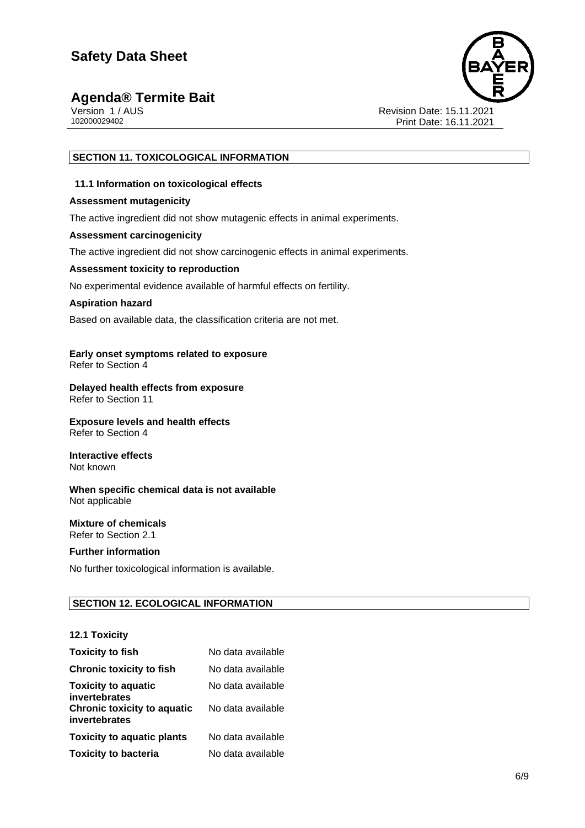### **Agenda® Termite Bait 6/9**





Version 1 / AUS<br>102000029402<br>Print Date: 16.11.2021 Print Date: 16.11.2021

#### **SECTION 11. TOXICOLOGICAL INFORMATION**

#### **11.1 Information on toxicological effects**

#### **Assessment mutagenicity**

The active ingredient did not show mutagenic effects in animal experiments.

#### **Assessment carcinogenicity**

The active ingredient did not show carcinogenic effects in animal experiments.

#### **Assessment toxicity to reproduction**

No experimental evidence available of harmful effects on fertility.

#### **Aspiration hazard**

Based on available data, the classification criteria are not met.

#### **Early onset symptoms related to exposure** Refer to Section 4

#### **Delayed health effects from exposure** Refer to Section 11

**Exposure levels and health effects** Refer to Section 4

#### **Interactive effects** Not known

**When specific chemical data is not available** Not applicable

#### **Mixture of chemicals** Refer to Section 2.1

#### **Further information**

No further toxicological information is available.

#### **SECTION 12. ECOLOGICAL INFORMATION**

#### **12.1 Toxicity**

| <b>Toxicity to fish</b>                             | No data available |
|-----------------------------------------------------|-------------------|
| <b>Chronic toxicity to fish</b>                     | No data available |
| <b>Toxicity to aquatic</b><br>invertebrates         | No data available |
| <b>Chronic toxicity to aquatic</b><br>invertebrates | No data available |
| <b>Toxicity to aquatic plants</b>                   | No data available |
| <b>Toxicity to bacteria</b>                         | No data available |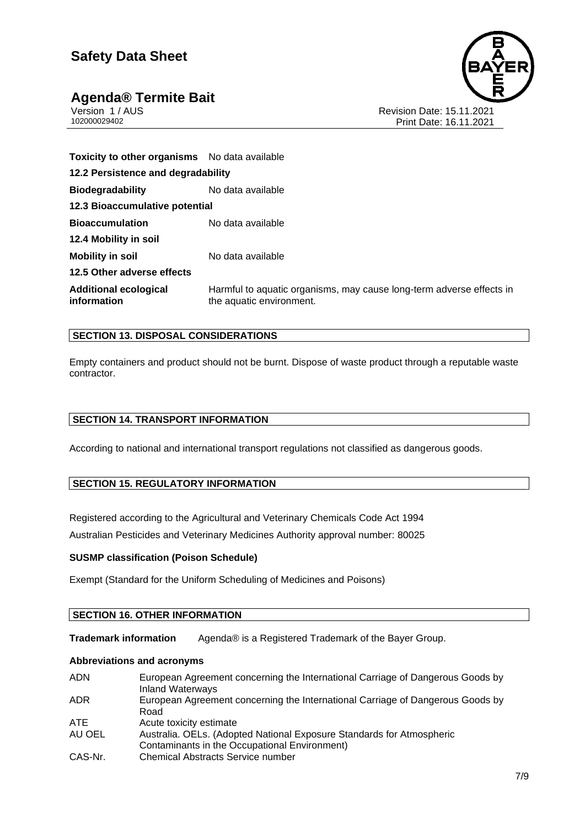

### **Agenda® Termite Bait 7/9**

Version 1 / AUS<br>102000029402<br>Print Date: 16.11.2021 Print Date: 16.11.2021

| Toxicity to other organisms No data available |                                                                                                  |  |
|-----------------------------------------------|--------------------------------------------------------------------------------------------------|--|
| 12.2 Persistence and degradability            |                                                                                                  |  |
| <b>Biodegradability</b>                       | No data available                                                                                |  |
| 12.3 Bioaccumulative potential                |                                                                                                  |  |
| <b>Bioaccumulation</b>                        | No data available                                                                                |  |
| 12.4 Mobility in soil                         |                                                                                                  |  |
| <b>Mobility in soil</b>                       | No data available                                                                                |  |
| 12.5 Other adverse effects                    |                                                                                                  |  |
| <b>Additional ecological</b><br>information   | Harmful to aquatic organisms, may cause long-term adverse effects in<br>the aquatic environment. |  |

#### **SECTION 13. DISPOSAL CONSIDERATIONS**

Empty containers and product should not be burnt. Dispose of waste product through a reputable waste contractor.

#### **SECTION 14. TRANSPORT INFORMATION**

According to national and international transport regulations not classified as dangerous goods.

#### **SECTION 15. REGULATORY INFORMATION**

Registered according to the Agricultural and Veterinary Chemicals Code Act 1994

Australian Pesticides and Veterinary Medicines Authority approval number: 80025

#### **SUSMP classification (Poison Schedule)**

Exempt (Standard for the Uniform Scheduling of Medicines and Poisons)

#### **SECTION 16. OTHER INFORMATION**

**Trademark information** Agenda® is a Registered Trademark of the Bayer Group.

#### **Abbreviations and acronyms**

| <b>ADN</b> | European Agreement concerning the International Carriage of Dangerous Goods by<br><b>Inland Waterways</b> |
|------------|-----------------------------------------------------------------------------------------------------------|
| ADR.       | European Agreement concerning the International Carriage of Dangerous Goods by                            |
|            | Road                                                                                                      |
| ATE.       | Acute toxicity estimate                                                                                   |
| AU OEL     | Australia. OELs. (Adopted National Exposure Standards for Atmospheric                                     |
|            | Contaminants in the Occupational Environment)                                                             |
| CAS-Nr.    | <b>Chemical Abstracts Service number</b>                                                                  |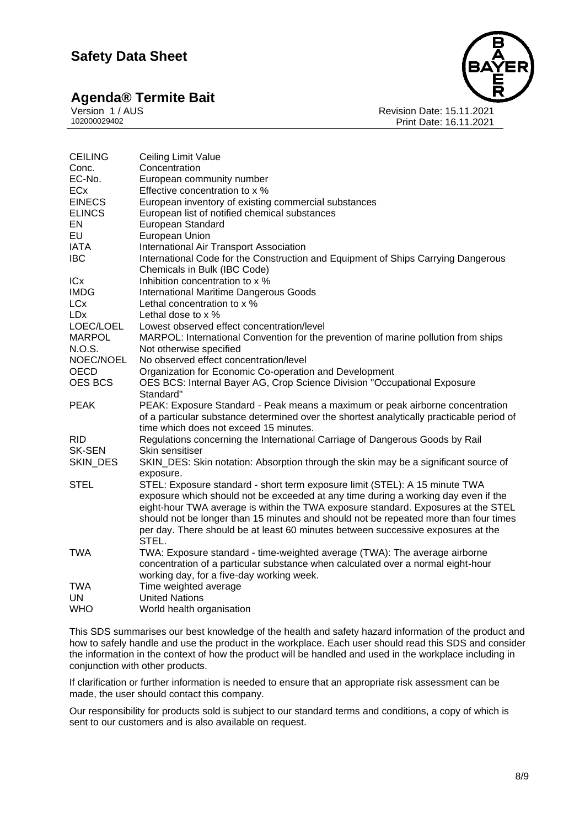# **Agenda® Termite Bait** Version 1/AUS

Version 1 / AUS<br>102000029402<br>Print Date: 16.11.2021 Print Date: 16.11.2021

| <b>CEILING</b> | Ceiling Limit Value                                                                       |
|----------------|-------------------------------------------------------------------------------------------|
| Conc.          | Concentration                                                                             |
| EC-No.         | European community number                                                                 |
| ECx            | Effective concentration to x %                                                            |
| <b>EINECS</b>  | European inventory of existing commercial substances                                      |
| <b>ELINCS</b>  | European list of notified chemical substances                                             |
| EN             | European Standard                                                                         |
| <b>EU</b>      | European Union                                                                            |
| IATA           | International Air Transport Association                                                   |
| <b>IBC</b>     | International Code for the Construction and Equipment of Ships Carrying Dangerous         |
|                | Chemicals in Bulk (IBC Code)                                                              |
| ICx            | Inhibition concentration to x %                                                           |
| <b>IMDG</b>    | <b>International Maritime Dangerous Goods</b>                                             |
| <b>LCx</b>     | Lethal concentration to x %                                                               |
| <b>LDx</b>     | Lethal dose to x %                                                                        |
| LOEC/LOEL      | Lowest observed effect concentration/level                                                |
| <b>MARPOL</b>  | MARPOL: International Convention for the prevention of marine pollution from ships        |
| N.O.S.         | Not otherwise specified                                                                   |
| NOEC/NOEL      | No observed effect concentration/level                                                    |
| <b>OECD</b>    | Organization for Economic Co-operation and Development                                    |
| OES BCS        | OES BCS: Internal Bayer AG, Crop Science Division "Occupational Exposure                  |
|                | Standard"                                                                                 |
| <b>PEAK</b>    | PEAK: Exposure Standard - Peak means a maximum or peak airborne concentration             |
|                | of a particular substance determined over the shortest analytically practicable period of |
|                | time which does not exceed 15 minutes.                                                    |
| <b>RID</b>     | Regulations concerning the International Carriage of Dangerous Goods by Rail              |
| <b>SK-SEN</b>  | Skin sensitiser                                                                           |
| SKIN_DES       | SKIN_DES: Skin notation: Absorption through the skin may be a significant source of       |
|                | exposure.                                                                                 |
| <b>STEL</b>    | STEL: Exposure standard - short term exposure limit (STEL): A 15 minute TWA               |
|                | exposure which should not be exceeded at any time during a working day even if the        |
|                | eight-hour TWA average is within the TWA exposure standard. Exposures at the STEL         |
|                | should not be longer than 15 minutes and should not be repeated more than four times      |
|                | per day. There should be at least 60 minutes between successive exposures at the          |
|                | STEL.                                                                                     |
| <b>TWA</b>     | TWA: Exposure standard - time-weighted average (TWA): The average airborne                |
|                | concentration of a particular substance when calculated over a normal eight-hour          |
|                | working day, for a five-day working week.                                                 |
| <b>TWA</b>     | Time weighted average                                                                     |
| <b>UN</b>      | <b>United Nations</b>                                                                     |
| <b>WHO</b>     | World health organisation                                                                 |

This SDS summarises our best knowledge of the health and safety hazard information of the product and how to safely handle and use the product in the workplace. Each user should read this SDS and consider the information in the context of how the product will be handled and used in the workplace including in conjunction with other products.

If clarification or further information is needed to ensure that an appropriate risk assessment can be made, the user should contact this company.

Our responsibility for products sold is subject to our standard terms and conditions, a copy of which is sent to our customers and is also available on request.